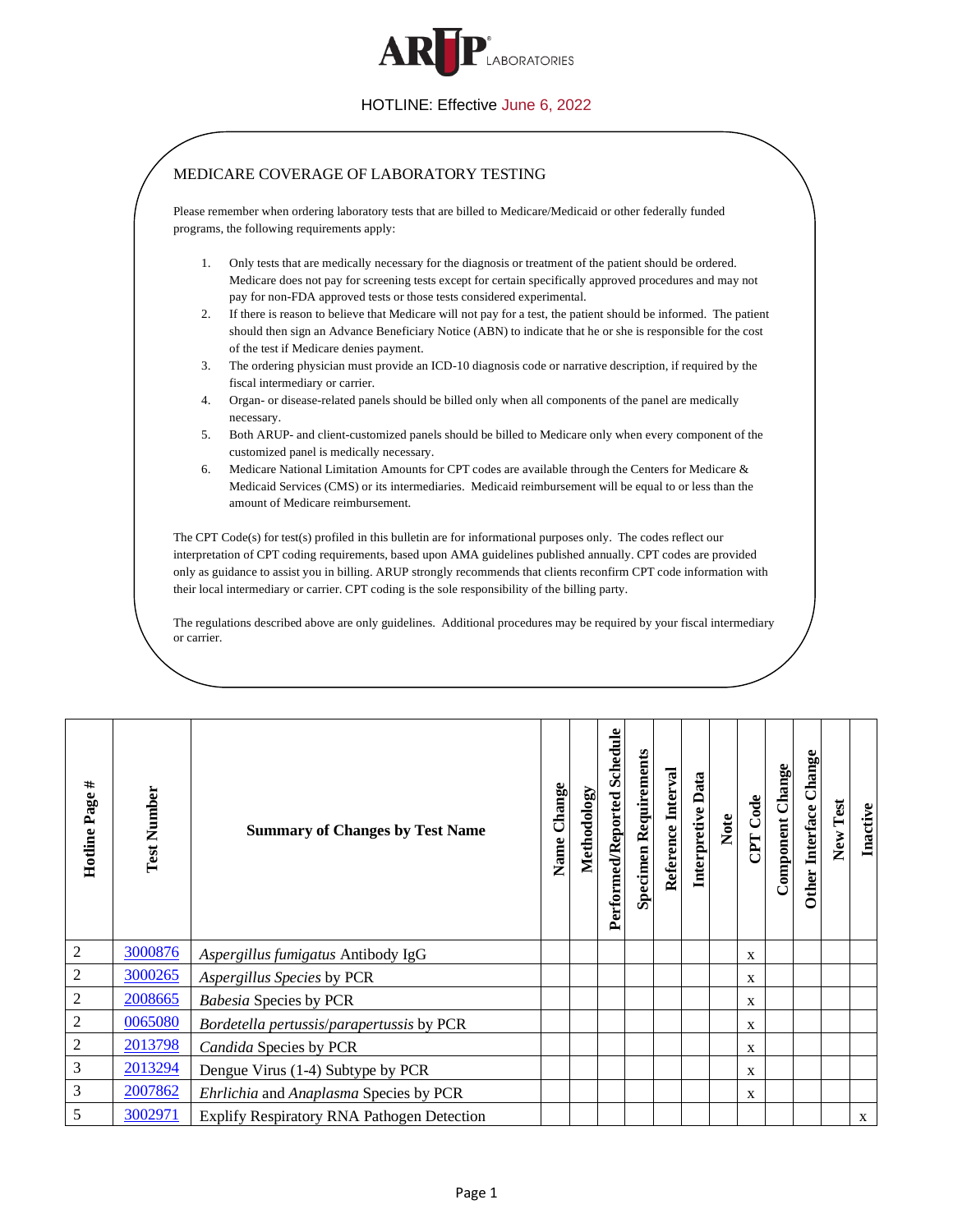

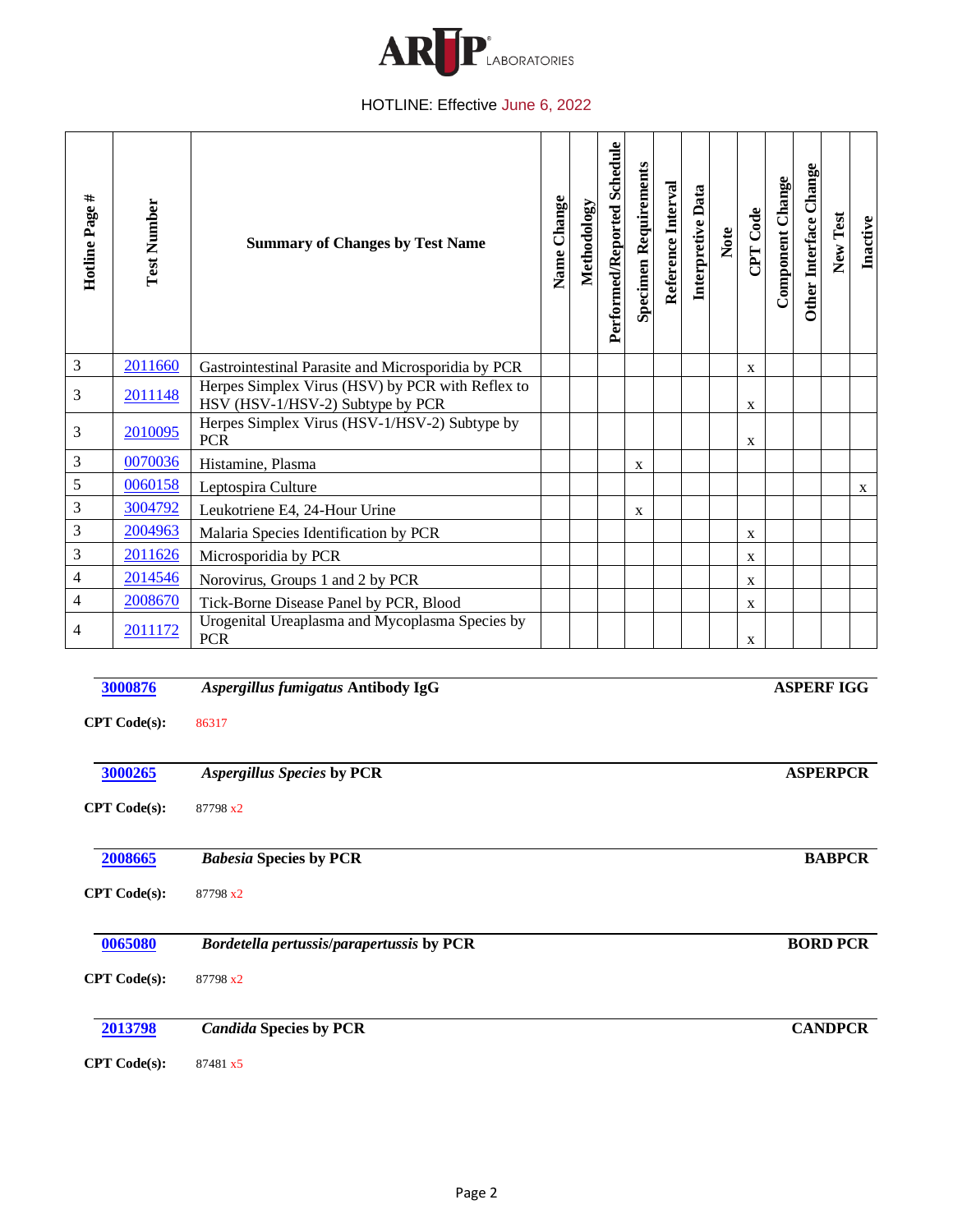

| Hotline Page #                 | <b>Test Number</b>             | <b>Summary of Changes by Test Name</b>                                               | Name Change | Methodology | Performed/Reported Schedule | Specimen Requirements | Reference Interval | Interpretive Data | Note | CPT Code | Component Change | Other Interface Change | New Test          | Inactive |
|--------------------------------|--------------------------------|--------------------------------------------------------------------------------------|-------------|-------------|-----------------------------|-----------------------|--------------------|-------------------|------|----------|------------------|------------------------|-------------------|----------|
| $\mathfrak 3$                  | 2011660                        | Gastrointestinal Parasite and Microsporidia by PCR                                   |             |             |                             |                       |                    |                   |      | X        |                  |                        |                   |          |
| 3                              | 2011148                        | Herpes Simplex Virus (HSV) by PCR with Reflex to<br>HSV (HSV-1/HSV-2) Subtype by PCR |             |             |                             |                       |                    |                   |      | X        |                  |                        |                   |          |
| 3                              | 2010095                        | Herpes Simplex Virus (HSV-1/HSV-2) Subtype by<br><b>PCR</b>                          |             |             |                             |                       |                    |                   |      | X        |                  |                        |                   |          |
| 3                              | 0070036                        | Histamine, Plasma                                                                    |             |             |                             | X                     |                    |                   |      |          |                  |                        |                   |          |
| 5                              | 0060158                        | Leptospira Culture                                                                   |             |             |                             |                       |                    |                   |      |          |                  |                        |                   | X        |
| 3                              | 3004792                        | Leukotriene E4, 24-Hour Urine                                                        |             |             |                             | X                     |                    |                   |      |          |                  |                        |                   |          |
| 3                              | 2004963                        | Malaria Species Identification by PCR                                                |             |             |                             |                       |                    |                   |      | X        |                  |                        |                   |          |
| 3                              | 2011626                        | Microsporidia by PCR                                                                 |             |             |                             |                       |                    |                   |      | X        |                  |                        |                   |          |
| 4                              | 2014546                        | Norovirus, Groups 1 and 2 by PCR                                                     |             |             |                             |                       |                    |                   |      | X        |                  |                        |                   |          |
| 4                              | 2008670                        | Tick-Borne Disease Panel by PCR, Blood                                               |             |             |                             |                       |                    |                   |      | X        |                  |                        |                   |          |
| 4                              | 2011172                        | Urogenital Ureaplasma and Mycoplasma Species by<br><b>PCR</b>                        |             |             |                             |                       |                    |                   |      | X        |                  |                        |                   |          |
|                                | 3000876<br><b>CPT</b> Code(s): | Aspergillus fumigatus Antibody IgG<br>86317                                          |             |             |                             |                       |                    |                   |      |          |                  |                        | <b>ASPERF IGG</b> |          |
| 3000265<br><b>CPT</b> Code(s): |                                | <b>ASPERPCR</b><br>Aspergillus Species by PCR<br>87798 x2                            |             |             |                             |                       |                    |                   |      |          |                  |                        |                   |          |
|                                | 2008665<br><b>CPT</b> Code(s): | <b>Babesia Species by PCR</b><br>87798 x2                                            |             |             |                             |                       |                    |                   |      |          |                  |                        | <b>BABPCR</b>     |          |
| 0065080<br><b>CPT</b> Code(s): |                                | <b>BORD PCR</b><br>Bordetella pertussis/parapertussis by PCR<br>87798 x2             |             |             |                             |                       |                    |                   |      |          |                  |                        |                   |          |
|                                | 2013798                        | <b>Candida Species by PCR</b>                                                        |             |             |                             |                       |                    |                   |      |          |                  |                        | <b>CANDPCR</b>    |          |

**CPT Code(s):** 87481 x5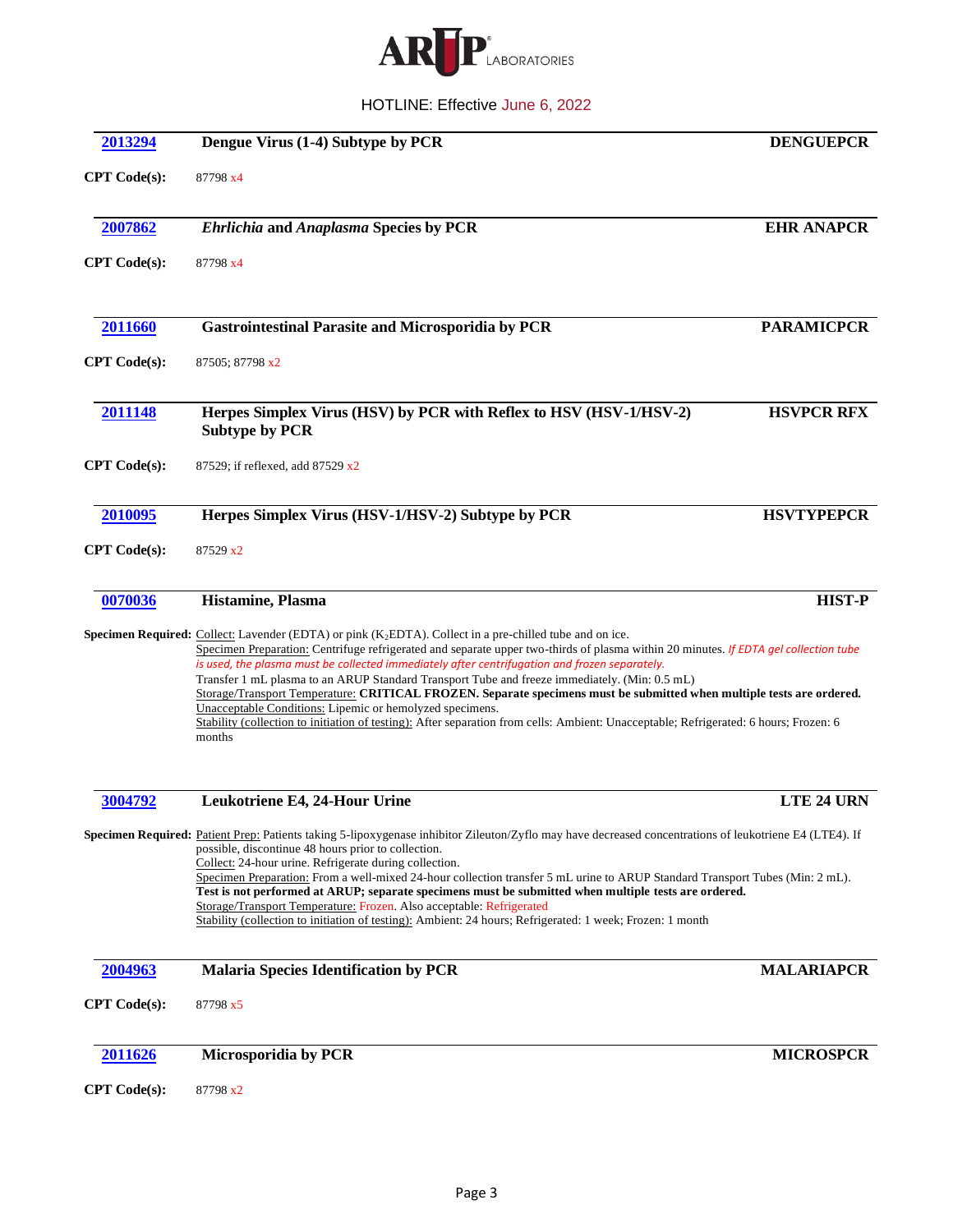

| 2013294             | Dengue Virus (1-4) Subtype by PCR                                                                                                                                                                                                                                                                                                                                                                                                                                                                                                                                                                                                                                                                                                                                                                    | <b>DENGUEPCR</b>  |
|---------------------|------------------------------------------------------------------------------------------------------------------------------------------------------------------------------------------------------------------------------------------------------------------------------------------------------------------------------------------------------------------------------------------------------------------------------------------------------------------------------------------------------------------------------------------------------------------------------------------------------------------------------------------------------------------------------------------------------------------------------------------------------------------------------------------------------|-------------------|
| <b>CPT</b> Code(s): | 87798 x4                                                                                                                                                                                                                                                                                                                                                                                                                                                                                                                                                                                                                                                                                                                                                                                             |                   |
| 2007862             | <b>Ehrlichia and Anaplasma Species by PCR</b>                                                                                                                                                                                                                                                                                                                                                                                                                                                                                                                                                                                                                                                                                                                                                        | <b>EHR ANAPCR</b> |
| <b>CPT</b> Code(s): | 87798 x4                                                                                                                                                                                                                                                                                                                                                                                                                                                                                                                                                                                                                                                                                                                                                                                             |                   |
| 2011660             | <b>Gastrointestinal Parasite and Microsporidia by PCR</b>                                                                                                                                                                                                                                                                                                                                                                                                                                                                                                                                                                                                                                                                                                                                            | <b>PARAMICPCR</b> |
| <b>CPT</b> Code(s): | 87505; 87798 x2                                                                                                                                                                                                                                                                                                                                                                                                                                                                                                                                                                                                                                                                                                                                                                                      |                   |
| 2011148             | Herpes Simplex Virus (HSV) by PCR with Reflex to HSV (HSV-1/HSV-2)<br><b>Subtype by PCR</b>                                                                                                                                                                                                                                                                                                                                                                                                                                                                                                                                                                                                                                                                                                          | <b>HSVPCR RFX</b> |
| <b>CPT</b> Code(s): | 87529; if reflexed, add 87529 x2                                                                                                                                                                                                                                                                                                                                                                                                                                                                                                                                                                                                                                                                                                                                                                     |                   |
| 2010095             | Herpes Simplex Virus (HSV-1/HSV-2) Subtype by PCR                                                                                                                                                                                                                                                                                                                                                                                                                                                                                                                                                                                                                                                                                                                                                    | <b>HSVTYPEPCR</b> |
| <b>CPT</b> Code(s): | 87529 x2                                                                                                                                                                                                                                                                                                                                                                                                                                                                                                                                                                                                                                                                                                                                                                                             |                   |
| 0070036             | Histamine, Plasma                                                                                                                                                                                                                                                                                                                                                                                                                                                                                                                                                                                                                                                                                                                                                                                    | <b>HIST-P</b>     |
|                     | <b>Specimen Required:</b> Collect: Lavender (EDTA) or pink $(K_2EDTA)$ . Collect in a pre-chilled tube and on ice.<br>Specimen Preparation: Centrifuge refrigerated and separate upper two-thirds of plasma within 20 minutes. If EDTA gel collection tube<br>is used, the plasma must be collected immediately after centrifugation and frozen separately.<br>Transfer 1 mL plasma to an ARUP Standard Transport Tube and freeze immediately. (Min: 0.5 mL)<br>Storage/Transport Temperature: CRITICAL FROZEN. Separate specimens must be submitted when multiple tests are ordered.<br>Unacceptable Conditions: Lipemic or hemolyzed specimens.<br>Stability (collection to initiation of testing): After separation from cells: Ambient: Unacceptable; Refrigerated: 6 hours; Frozen: 6<br>months |                   |
| 3004792             | Leukotriene E4, 24-Hour Urine                                                                                                                                                                                                                                                                                                                                                                                                                                                                                                                                                                                                                                                                                                                                                                        | LTE 24 URN        |
|                     | Specimen Required: Patient Prep: Patients taking 5-lipoxygenase inhibitor Zileuton/Zyflo may have decreased concentrations of leukotriene E4 (LTE4). If<br>possible, discontinue 48 hours prior to collection.<br>Collect: 24-hour urine. Refrigerate during collection.<br>Specimen Preparation: From a well-mixed 24-hour collection transfer 5 mL urine to ARUP Standard Transport Tubes (Min: 2 mL).<br>Test is not performed at ARUP; separate specimens must be submitted when multiple tests are ordered.<br>Storage/Transport Temperature: Frozen. Also acceptable: Refrigerated<br>Stability (collection to initiation of testing): Ambient: 24 hours; Refrigerated: 1 week; Frozen: 1 month                                                                                                |                   |
| 2004963             | <b>Malaria Species Identification by PCR</b>                                                                                                                                                                                                                                                                                                                                                                                                                                                                                                                                                                                                                                                                                                                                                         | <b>MALARIAPCR</b> |
| <b>CPT</b> Code(s): | 87798 x5                                                                                                                                                                                                                                                                                                                                                                                                                                                                                                                                                                                                                                                                                                                                                                                             |                   |
| 2011626             | <b>Microsporidia by PCR</b>                                                                                                                                                                                                                                                                                                                                                                                                                                                                                                                                                                                                                                                                                                                                                                          | <b>MICROSPCR</b>  |
| <b>CPT</b> Code(s): | 87798 x2                                                                                                                                                                                                                                                                                                                                                                                                                                                                                                                                                                                                                                                                                                                                                                                             |                   |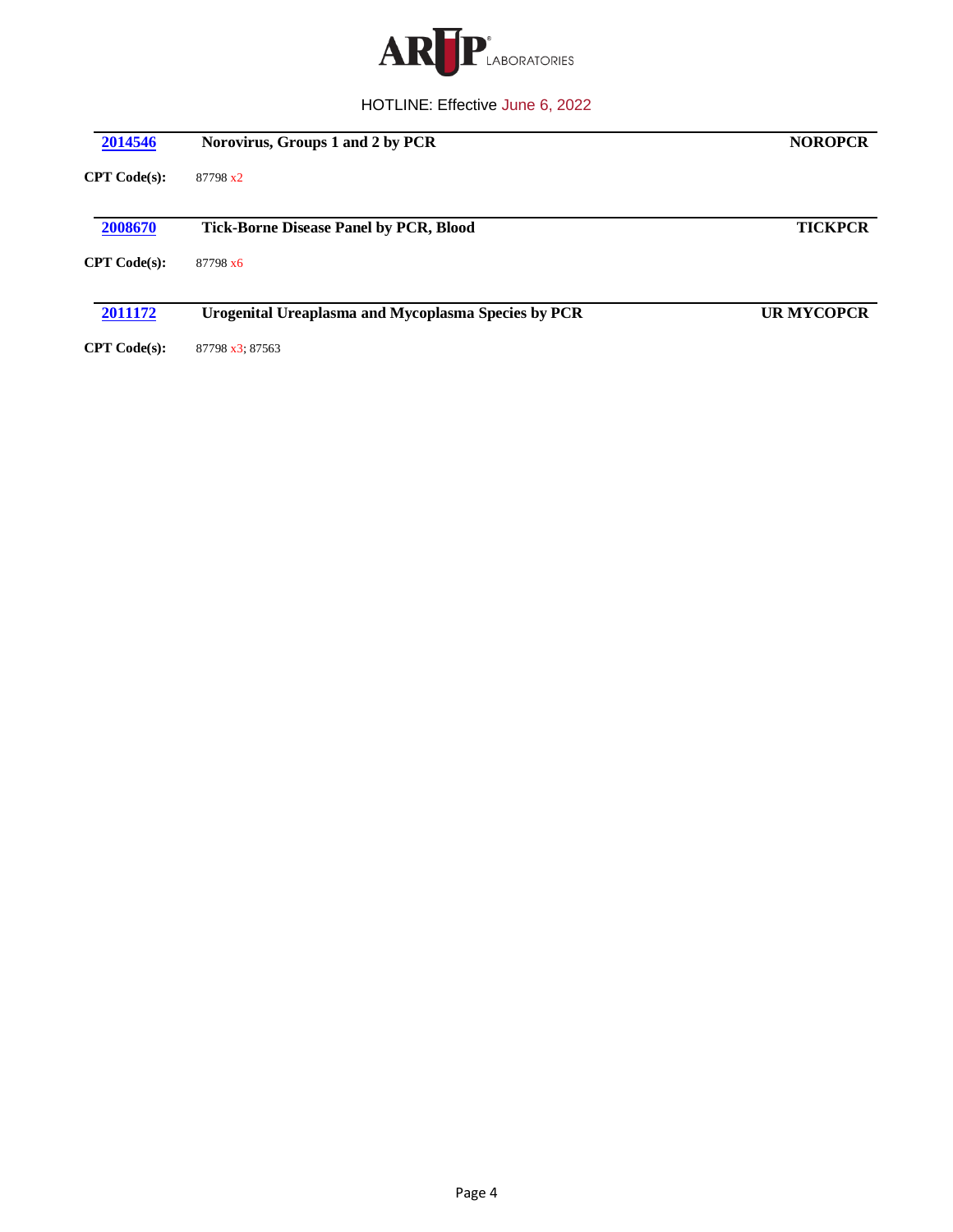

| 2014546      | Norovirus, Groups 1 and 2 by PCR                    | <b>NOROPCR</b>    |
|--------------|-----------------------------------------------------|-------------------|
| CPT Code(s): | 87798 x2                                            |                   |
| 2008670      | <b>Tick-Borne Disease Panel by PCR, Blood</b>       | <b>TICKPCR</b>    |
| CPT Code(s): | 87798 x6                                            |                   |
| 2011172      | Urogenital Ureaplasma and Mycoplasma Species by PCR | <b>UR MYCOPCR</b> |
| CPT Code(s): | 87798 x3: 87563                                     |                   |